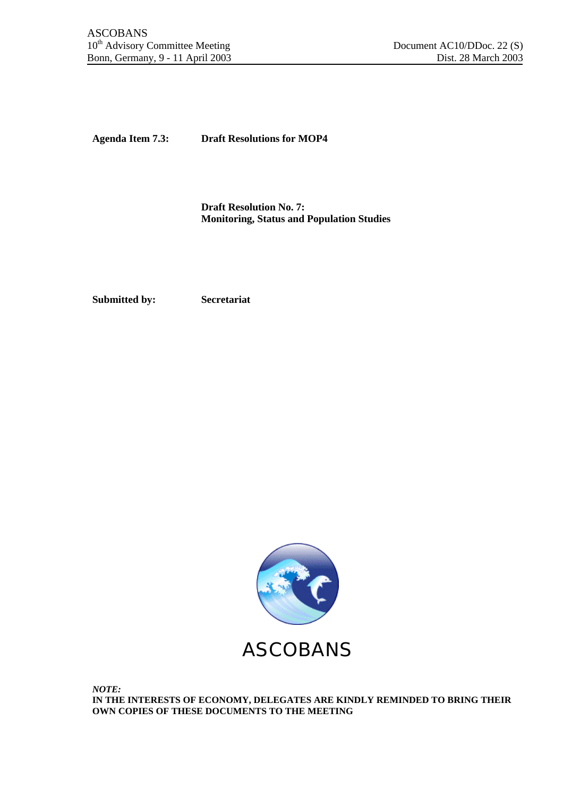**Agenda Item 7.3: Draft Resolutions for MOP4**

**Draft Resolution No. 7: Monitoring, Status and Population Studies**

**Submitted by: Secretariat**

ASCOBANS

*NOTE:* **IN THE INTERESTS OF ECONOMY, DELEGATES ARE KINDLY REMINDED TO BRING THEIR OWN COPIES OF THESE DOCUMENTS TO THE MEETING**